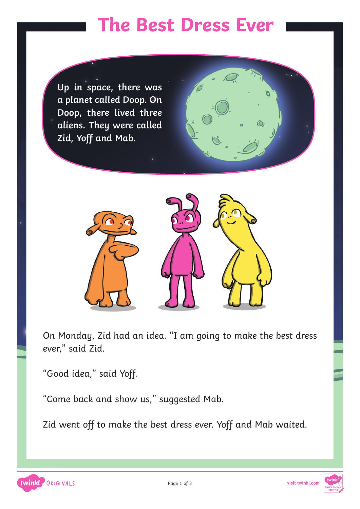#### **The Best Dress Ever**

**Up in space, there was a planet called Doop. On Doop, there lived three aliens. They were called Zid, Yoff and Mab.**



On Monday, Zid had an idea. "I am going to make the best dress ever," said Zid.

"Good idea," said Yoff.

"Come back and show us," suggested Mab.

Zid went off to make the best dress ever. Yoff and Mab waited.



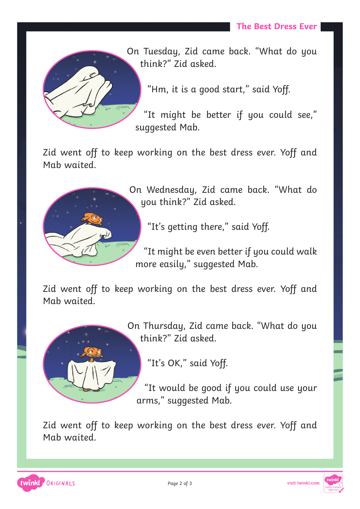

On Tuesday, Zid came back. "What do you think?" Zid asked.

"Hm, it is a good start," said Yoff.

"It might be better if you could see," suggested Mab.

Zid went off to keep working on the best dress ever. Yoff and Mab waited.



On Wednesday, Zid came back. "What do you think?" Zid asked.

"It's getting there," said Yoff.

"It might be even better if you could walk more easily," suggested Mab.

Zid went off to keep working on the best dress ever. Yoff and Mab waited.



On Thursday, Zid came back. "What do you think?" Zid asked.

"It's OK," said Yoff.

"It would be good if you could use your arms," suggested Mab.

Zid went off to keep working on the best dress ever. Yoff and Mab waited.



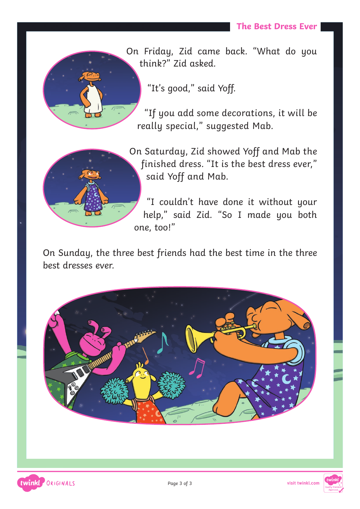

On Friday, Zid came back. "What do you think?" Zid asked.

"It's good," said Yoff.

"If you add some decorations, it will be really special," suggested Mab.



twinkl ORIGINALS

On Saturday, Zid showed Yoff and Mab the finished dress. "It is the best dress ever," said Yoff and Mab.

"I couldn't have done it without your help," said Zid. "So I made you both one, too!"

On Sunday, the three best friends had the best time in the three best dresses ever.



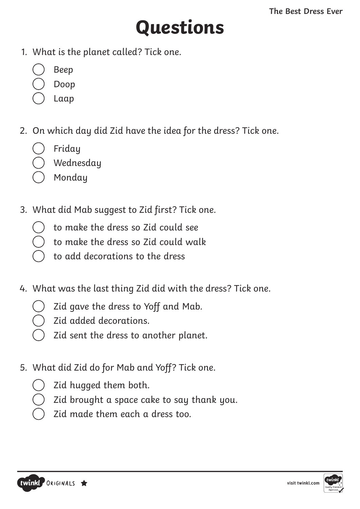# **Questions**

- 1. What is the planet called? Tick one.
	- Beep
	- Doop
	- Laap
- 2. On which day did Zid have the idea for the dress? Tick one.
	- Friday
	- Wednesday
	- Monday
- 3. What did Mab suggest to Zid first? Tick one.
	- to make the dress so Zid could see
	- to make the dress so Zid could walk
	- to add decorations to the dress
- 4. What was the last thing Zid did with the dress? Tick one.
	- Zid gave the dress to Yoff and Mab.
	- Zid added decorations.
	- Zid sent the dress to another planet.
- 5. What did Zid do for Mab and Yoff? Tick one.
	- Zid hugged them both.
	- Zid brought a space cake to say thank you.
	- Zid made them each a dress too.



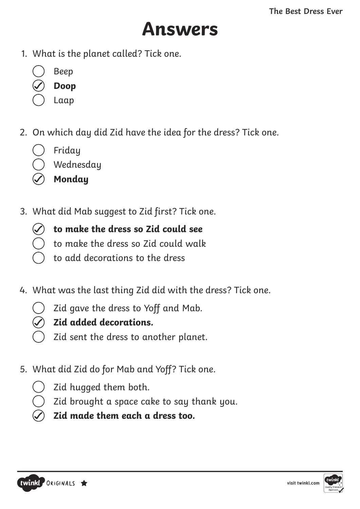### **Answers**

- 1. What is the planet called? Tick one.
	- Beep
	- **Doop**
	- Laap
- 2. On which day did Zid have the idea for the dress? Tick one.
	- Friday
	- Wednesday
	- **Monday**
- 3. What did Mab suggest to Zid first? Tick one.
	- **to make the dress so Zid could see**
		- to make the dress so Zid could walk
	- to add decorations to the dress
- 4. What was the last thing Zid did with the dress? Tick one.
	- Zid gave the dress to Yoff and Mab.
	- **Zid added decorations.**
	- Zid sent the dress to another planet.
- 5. What did Zid do for Mab and Yoff? Tick one.
	- Zid hugged them both.
	- Zid brought a space cake to say thank you.
	- **Zid made them each a dress too.**



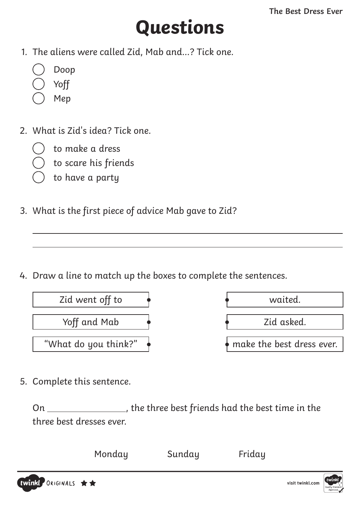## **Questions**

- 1. The aliens were called Zid, Mab and…? Tick one.
	- Doop
	- Yoff
	- Mep
- 2. What is Zid's idea? Tick one.
	- to make a dress
	- to scare his friends
	- to have a party
- 3. What is the first piece of advice Mab gave to Zid?

4. Draw a line to match up the boxes to complete the sentences.



| waited.                   |
|---------------------------|
| Zid asked.                |
| make the best dress ever. |

5. Complete this sentence.

On \_\_\_\_\_\_\_\_\_\_\_\_\_\_\_, the three best friends had the best time in the three best dresses ever.



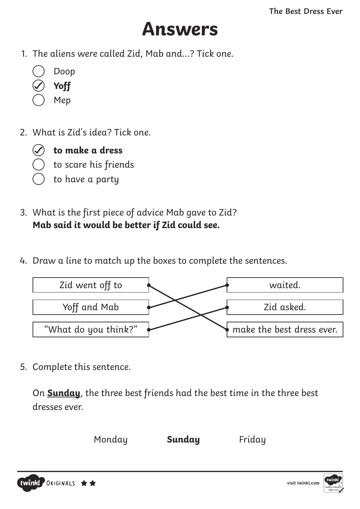### **Answers**

- 1. The aliens were called Zid, Mab and…? Tick one.
	- Doop
	- **Yoff**
	- Mep
- 2. What is Zid's idea? Tick one.



**to make a dress**

- to scare his friends
- to have a party
- 3. What is the first piece of advice Mab gave to Zid? **Mab said it would be better if Zid could see.**
- 4. Draw a line to match up the boxes to complete the sentences.



5. Complete this sentence.

On **Sunday**, the three best friends had the best time in the three best dresses ever.





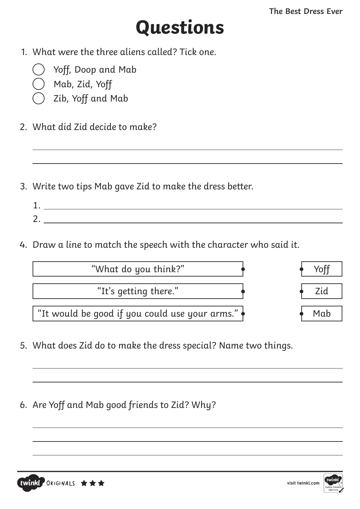## **Questions**

- 1. What were the three aliens called? Tick one.
	- Yoff, Doop and Mab
	- Mab, Zid, Yoff
	- Zib, Yoff and Mab
- 2. What did Zid decide to make?
- 3. Write two tips Mab gave Zid to make the dress better.
	- 1. 2.
- 4. Draw a line to match the speech with the character who said it.

| "What do you think?"                           |     |
|------------------------------------------------|-----|
| "It's getting there."                          | 7id |
| "It would be good if you could use your arms." | Mab |

- 5. What does Zid do to make the dress special? Name two things.
- 6. Are Yoff and Mab good friends to Zid? Why?